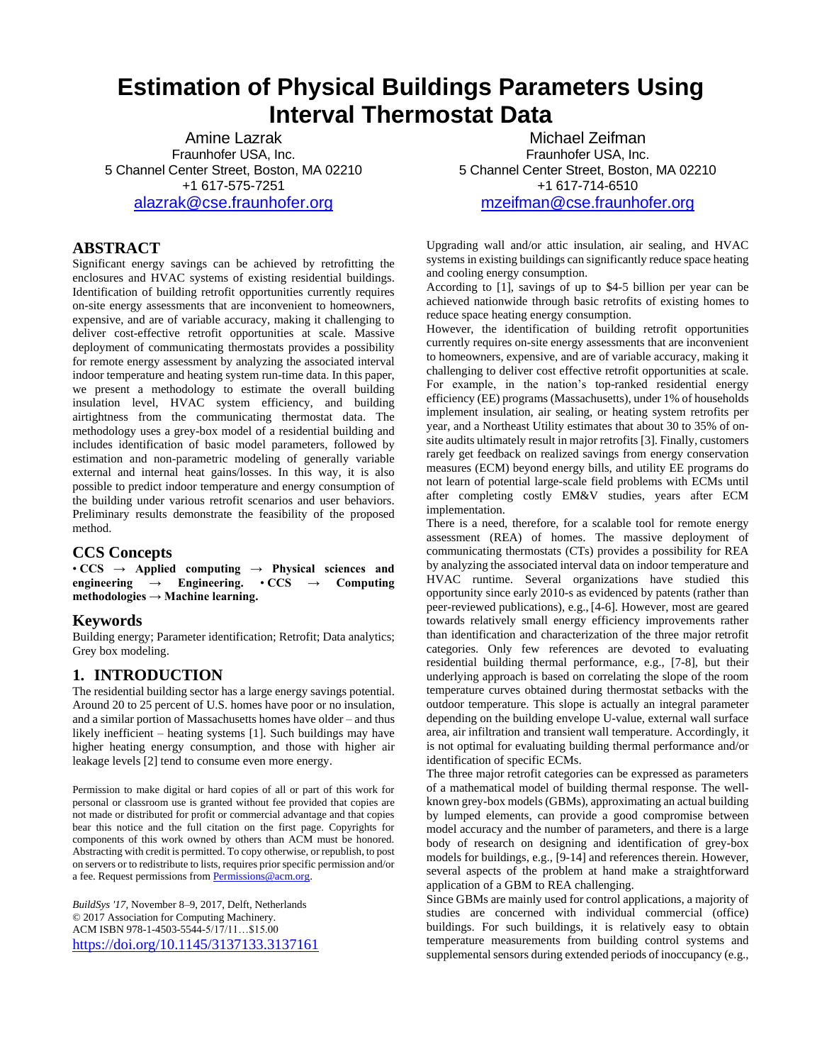# **Estimation of Physical Buildings Parameters Using Interval Thermostat Data**

Amine Lazrak Fraunhofer USA, Inc. 5 Channel Center Street, Boston, MA 02210 +1 617-575-7251 [alazrak@cse.fraunhofer.org](mailto:alazrak@cse.fraunhofer.org)

## **ABSTRACT**

Significant energy savings can be achieved by retrofitting the enclosures and HVAC systems of existing residential buildings. Identification of building retrofit opportunities currently requires on-site energy assessments that are inconvenient to homeowners, expensive, and are of variable accuracy, making it challenging to deliver cost-effective retrofit opportunities at scale. Massive deployment of communicating thermostats provides a possibility for remote energy assessment by analyzing the associated interval indoor temperature and heating system run-time data. In this paper, we present a methodology to estimate the overall building insulation level, HVAC system efficiency, and building airtightness from the communicating thermostat data. The methodology uses a grey-box model of a residential building and includes identification of basic model parameters, followed by estimation and non-parametric modeling of generally variable external and internal heat gains/losses. In this way, it is also possible to predict indoor temperature and energy consumption of the building under various retrofit scenarios and user behaviors. Preliminary results demonstrate the feasibility of the proposed method.

## **CCS Concepts**

• **CCS → Applied computing → Physical sciences and engineering → Engineering.** • **CCS → Computing methodologies → Machine learning.**

## **Keywords**

Building energy; Parameter identification; Retrofit; Data analytics; Grey box modeling.

## **1. INTRODUCTION**

The residential building sector has a large energy savings potential. Around 20 to 25 percent of U.S. homes have poor or no insulation, and a similar portion of Massachusetts homes have older – and thus likely inefficient – heating systems [1]. Such buildings may have higher heating energy consumption, and those with higher air leakage levels [2] tend to consume even more energy.

Permission to make digital or hard copies of all or part of this work for personal or classroom use is granted without fee provided that copies are not made or distributed for profit or commercial advantage and that copies bear this notice and the full citation on the first page. Copyrights for components of this work owned by others than ACM must be honored. Abstracting with credit is permitted. To copy otherwise, or republish, to post on servers or to redistribute to lists, requires prior specific permission and/or a fee. Request permissions from [Permissions@acm.org.](mailto:Permissions@acm.org)

*BuildSys '17,* November 8–9, 2017, Delft, Netherlands © 2017 Association for Computing Machinery. ACM ISBN 978-1-4503-5544-5/17/11…\$15.00 <https://doi.org/10.1145/3137133.3137161>

Michael Zeifman Fraunhofer USA, Inc. 5 Channel Center Street, Boston, MA 02210 +1 617-714-6510 [mzeifman@cse.fraunhofer.org](mailto:mzeifman@cse.fraunhofer.org)

Upgrading wall and/or attic insulation, air sealing, and HVAC systems in existing buildings can significantly reduce space heating and cooling energy consumption.

According to [1], savings of up to \$4-5 billion per year can be achieved nationwide through basic retrofits of existing homes to reduce space heating energy consumption.

However, the identification of building retrofit opportunities currently requires on-site energy assessments that are inconvenient to homeowners, expensive, and are of variable accuracy, making it challenging to deliver cost effective retrofit opportunities at scale. For example, in the nation's top-ranked residential energy efficiency (EE) programs (Massachusetts), under 1% of households implement insulation, air sealing, or heating system retrofits per year, and a Northeast Utility estimates that about 30 to 35% of onsite audits ultimately result in major retrofits [3]. Finally, customers rarely get feedback on realized savings from energy conservation measures (ECM) beyond energy bills, and utility EE programs do not learn of potential large-scale field problems with ECMs until after completing costly EM&V studies, years after ECM implementation.

There is a need, therefore, for a scalable tool for remote energy assessment (REA) of homes. The massive deployment of communicating thermostats (CTs) provides a possibility for REA by analyzing the associated interval data on indoor temperature and HVAC runtime. Several organizations have studied this opportunity since early 2010-s as evidenced by patents (rather than peer-reviewed publications), e.g., [4-6]. However, most are geared towards relatively small energy efficiency improvements rather than identification and characterization of the three major retrofit categories. Only few references are devoted to evaluating residential building thermal performance, e.g., [7-8], but their underlying approach is based on correlating the slope of the room temperature curves obtained during thermostat setbacks with the outdoor temperature. This slope is actually an integral parameter depending on the building envelope U-value, external wall surface area, air infiltration and transient wall temperature. Accordingly, it is not optimal for evaluating building thermal performance and/or identification of specific ECMs.

The three major retrofit categories can be expressed as parameters of a mathematical model of building thermal response. The wellknown grey-box models (GBMs), approximating an actual building by lumped elements, can provide a good compromise between model accuracy and the number of parameters, and there is a large body of research on designing and identification of grey-box models for buildings, e.g., [9-14] and references therein. However, several aspects of the problem at hand make a straightforward application of a GBM to REA challenging.

Since GBMs are mainly used for control applications, a majority of studies are concerned with individual commercial (office) buildings. For such buildings, it is relatively easy to obtain temperature measurements from building control systems and supplemental sensors during extended periods of inoccupancy (e.g.,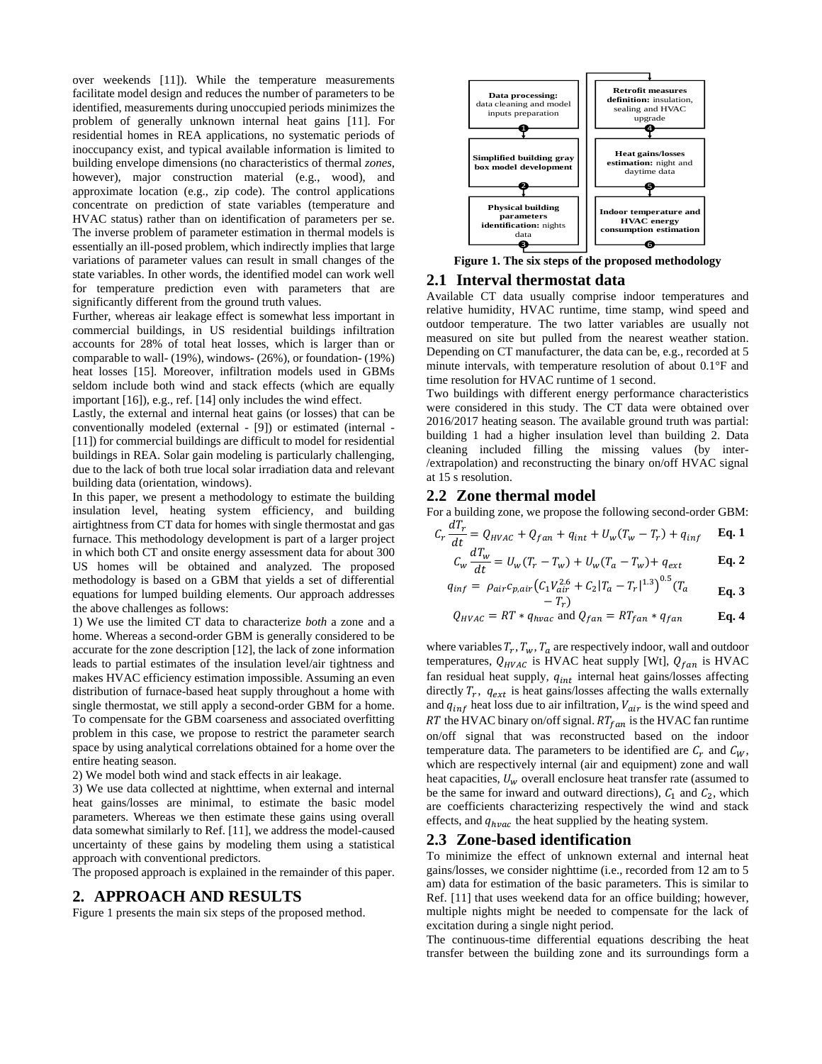over weekends [11]). While the temperature measurements facilitate model design and reduces the number of parameters to be identified, measurements during unoccupied periods minimizes the problem of generally unknown internal heat gains [11]. For residential homes in REA applications, no systematic periods of inoccupancy exist, and typical available information is limited to building envelope dimensions (no characteristics of thermal *zones*, however), major construction material (e.g., wood), and approximate location (e.g., zip code). The control applications concentrate on prediction of state variables (temperature and HVAC status) rather than on identification of parameters per se. The inverse problem of parameter estimation in thermal models is essentially an ill-posed problem, which indirectly implies that large variations of parameter values can result in small changes of the state variables. In other words, the identified model can work well for temperature prediction even with parameters that are significantly different from the ground truth values.

Further, whereas air leakage effect is somewhat less important in commercial buildings, in US residential buildings infiltration accounts for 28% of total heat losses, which is larger than or comparable to wall- (19%), windows- (26%), or foundation- (19%) heat losses [15]. Moreover, infiltration models used in GBMs seldom include both wind and stack effects (which are equally important [16]), e.g., ref. [14] only includes the wind effect.

Lastly, the external and internal heat gains (or losses) that can be conventionally modeled (external - [9]) or estimated (internal - [11]) for commercial buildings are difficult to model for residential buildings in REA. Solar gain modeling is particularly challenging, due to the lack of both true local solar irradiation data and relevant building data (orientation, windows).

In this paper, we present a methodology to estimate the building insulation level, heating system efficiency, and building airtightness from CT data for homes with single thermostat and gas furnace. This methodology development is part of a larger project in which both CT and onsite energy assessment data for about 300 US homes will be obtained and analyzed. The proposed methodology is based on a GBM that yields a set of differential equations for lumped building elements. Our approach addresses the above challenges as follows:

1) We use the limited CT data to characterize *both* a zone and a home. Whereas a second-order GBM is generally considered to be accurate for the zone description [12], the lack of zone information leads to partial estimates of the insulation level/air tightness and makes HVAC efficiency estimation impossible. Assuming an even distribution of furnace-based heat supply throughout a home with single thermostat, we still apply a second-order GBM for a home. To compensate for the GBM coarseness and associated overfitting problem in this case, we propose to restrict the parameter search space by using analytical correlations obtained for a home over the entire heating season.

2) We model both wind and stack effects in air leakage.

3) We use data collected at nighttime, when external and internal heat gains/losses are minimal, to estimate the basic model parameters. Whereas we then estimate these gains using overall data somewhat similarly to Ref. [11], we address the model-caused uncertainty of these gains by modeling them using a statistical approach with conventional predictors.

The proposed approach is explained in the remainder of this paper.

## **2. APPROACH AND RESULTS**

[Figure 1](#page-1-0) presents the main six steps of the proposed method.



**Figure 1. The six steps of the proposed methodology**

#### <span id="page-1-0"></span>**2.1 Interval thermostat data**

Available CT data usually comprise indoor temperatures and relative humidity, HVAC runtime, time stamp, wind speed and outdoor temperature. The two latter variables are usually not measured on site but pulled from the nearest weather station. Depending on CT manufacturer, the data can be, e.g., recorded at 5 minute intervals, with temperature resolution of about 0.1°F and time resolution for HVAC runtime of 1 second.

Two buildings with different energy performance characteristics were considered in this study. The CT data were obtained over 2016/2017 heating season. The available ground truth was partial: building 1 had a higher insulation level than building 2. Data cleaning included filling the missing values (by inter- /extrapolation) and reconstructing the binary on/off HVAC signal at 15 s resolution.

#### <span id="page-1-1"></span>**2.2 Zone thermal model**

For a building zone, we propose the following second-order GBM:

$$
C_r \frac{dT_r}{dt} = Q_{HVAC} + Q_{fan} + q_{int} + U_w (T_w - T_r) + q_{inf}
$$
 Eq. 1  

$$
C \frac{dT_w}{dt} = U_w (T_w - T_s) + U_w (T_w - T_s) + q_{inf}
$$
 Eq. 2

<span id="page-1-3"></span><span id="page-1-2"></span>
$$
C_w \frac{u_1}{dt} = U_w (T_r - T_w) + U_w (T_a - T_w) + q_{ext}
$$
 Eq. 2

$$
q_{inf} = \rho_{air} c_{p,air} \left( C_1 V_{air}^{2.6} + C_2 |T_a - T_r|^{1.3} \right)^{0.5} (T_a \qquad \mathbf{Eq. 3}
$$

$$
Q_{HVAC} = RT * q_{hvac}
$$
 and  $Q_{fan} = RT_{fan} * q_{fan}$  Eq. 4

where variables  $T_r$ ,  $T_w$ ,  $T_a$  are respectively indoor, wall and outdoor temperatures,  $Q_{HVAC}$  is HVAC heat supply [Wt],  $Q_{fan}$  is HVAC fan residual heat supply,  $q_{int}$  internal heat gains/losses affecting directly  $T_r$ ,  $q_{ext}$  is heat gains/losses affecting the walls externally and  $q_{inf}$  heat loss due to air infiltration,  $V_{air}$  is the wind speed and RT the HVAC binary on/off signal.  $RT_{fan}$  is the HVAC fan runtime on/off signal that was reconstructed based on the indoor temperature data. The parameters to be identified are  $C_r$  and  $C_W$ , which are respectively internal (air and equipment) zone and wall heat capacities,  $U_w$  overall enclosure heat transfer rate (assumed to be the same for inward and outward directions),  $C_1$  and  $C_2$ , which are coefficients characterizing respectively the wind and stack effects, and  $q_{hvac}$  the heat supplied by the heating system.

#### **2.3 Zone-based identification**

To minimize the effect of unknown external and internal heat gains/losses, we consider nighttime (i.e., recorded from 12 am to 5 am) data for estimation of the basic parameters. This is similar to Ref. [11] that uses weekend data for an office building; however, multiple nights might be needed to compensate for the lack of excitation during a single night period.

The continuous-time differential equations describing the heat transfer between the building zone and its surroundings form a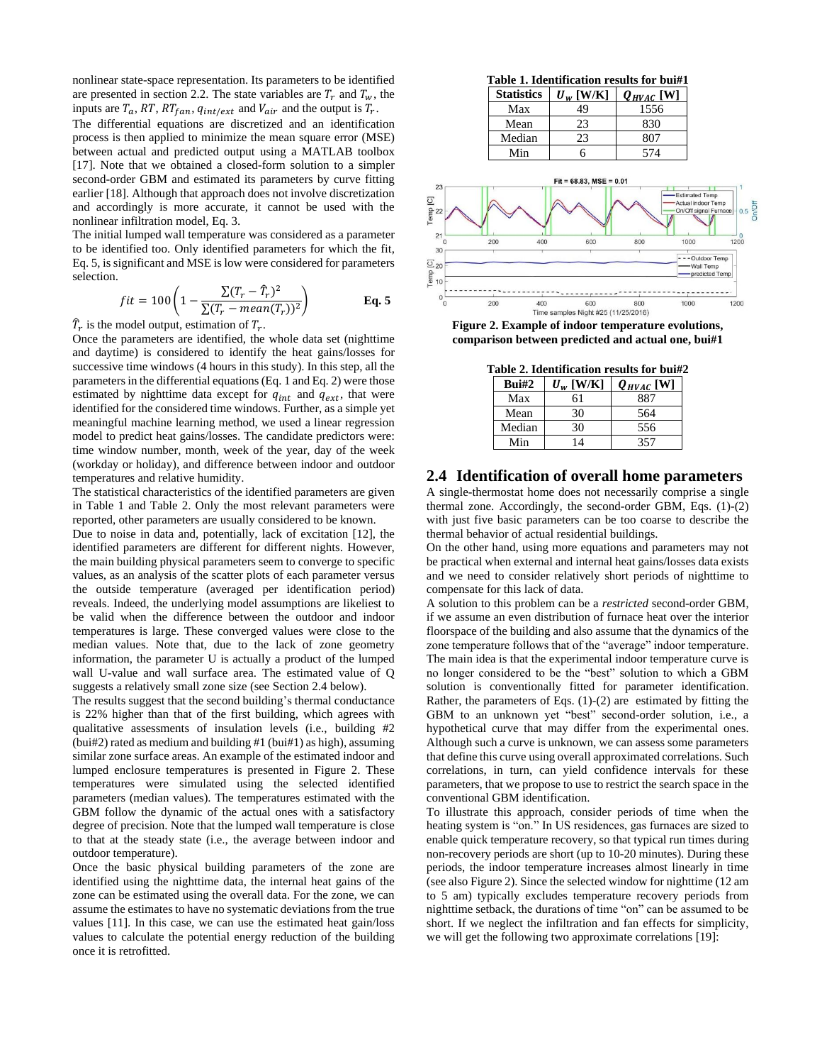nonlinear state-space representation. Its parameters to be identified are presented in section [2.2.](#page-1-1) The state variables are  $T_r$  and  $T_w$ , the inputs are  $T_a$ , RT, RT<sub>f an</sub>,  $q_{int/ext}$  and  $V_{air}$  and the output is  $T_r$ .

The differential equations are discretized and an identification process is then applied to minimize the mean square error (MSE) between actual and predicted output using a MATLAB toolbox [17]. Note that we obtained a closed-form solution to a simpler second-order GBM and estimated its parameters by curve fitting earlier [18]. Although that approach does not involve discretization and accordingly is more accurate, it cannot be used with the nonlinear infiltration model, Eq. 3.

The initial lumped wall temperature was considered as a parameter to be identified too. Only identified parameters for which the fit, [Eq. 5,](#page-2-0) is significant and MSE is low were considered for parameters selection.

$$
fit = 100\left(1 - \frac{\sum (T_r - \hat{T}_r)^2}{\sum (T_r - mean(T_r))^2}\right)
$$
 Eq. 5

 $\hat{T}_r$  is the model output, estimation of  $T_r$ .

Once the parameters are identified, the whole data set (nighttime and daytime) is considered to identify the heat gains/losses for successive time windows (4 hours in this study). In this step, all the parameters in the differential equations [\(Eq. 1](#page-1-2) an[d Eq. 2\)](#page-1-3) were those estimated by nighttime data except for  $q_{int}$  and  $q_{ext}$ , that were identified for the considered time windows. Further, as a simple yet meaningful machine learning method, we used a linear regression model to predict heat gains/losses. The candidate predictors were: time window number, month, week of the year, day of the week (workday or holiday), and difference between indoor and outdoor temperatures and relative humidity.

The statistical characteristics of the identified parameters are given in [Table 1](#page-2-1) and [Table 2.](#page-2-2) Only the most relevant parameters were reported, other parameters are usually considered to be known.

Due to noise in data and, potentially, lack of excitation [12], the identified parameters are different for different nights. However, the main building physical parameters seem to converge to specific values, as an analysis of the scatter plots of each parameter versus the outside temperature (averaged per identification period) reveals. Indeed, the underlying model assumptions are likeliest to be valid when the difference between the outdoor and indoor temperatures is large. These converged values were close to the median values. Note that, due to the lack of zone geometry information, the parameter U is actually a product of the lumped wall U-value and wall surface area. The estimated value of Q suggests a relatively small zone size (see Section 2.4 below).

The results suggest that the second building's thermal conductance is 22% higher than that of the first building, which agrees with qualitative assessments of insulation levels (i.e., building #2 (bui#2) rated as medium and building #1 (bui#1) as high), assuming similar zone surface areas. An example of the estimated indoor and lumped enclosure temperatures is presented in [Figure 2.](#page-2-3) These temperatures were simulated using the selected identified parameters (median values). The temperatures estimated with the GBM follow the dynamic of the actual ones with a satisfactory degree of precision. Note that the lumped wall temperature is close to that at the steady state (i.e., the average between indoor and outdoor temperature).

Once the basic physical building parameters of the zone are identified using the nighttime data, the internal heat gains of the zone can be estimated using the overall data. For the zone, we can assume the estimates to have no systematic deviations from the true values [11]. In this case, we can use the estimated heat gain/loss values to calculate the potential energy reduction of the building once it is retrofitted.

<span id="page-2-1"></span>

<span id="page-2-3"></span><span id="page-2-2"></span><span id="page-2-0"></span>**Figure 2. Example of indoor temperature evolutions, comparison between predicted and actual one, bui#1**

| аліс 2. Iuchuncauvii I csuns Ivi "пап $\pi$ |             |                |
|---------------------------------------------|-------------|----------------|
| Bui#2                                       | $U_w$ [W/K] | $Q_{HVAC}$ [W] |
| Max                                         | 61          | 887            |
| Mean                                        | 30          | 564            |
| Median                                      | 30          | 556            |
| Min                                         | 14          | 357            |

**Table 2. Identification results for bui#2**

#### **2.4 Identification of overall home parameters**

A single-thermostat home does not necessarily comprise a single thermal zone. Accordingly, the second-order GBM, Eqs. (1)-(2) with just five basic parameters can be too coarse to describe the thermal behavior of actual residential buildings.

On the other hand, using more equations and parameters may not be practical when external and internal heat gains/losses data exists and we need to consider relatively short periods of nighttime to compensate for this lack of data.

A solution to this problem can be a *restricted* second-order GBM, if we assume an even distribution of furnace heat over the interior floorspace of the building and also assume that the dynamics of the zone temperature follows that of the "average" indoor temperature. The main idea is that the experimental indoor temperature curve is no longer considered to be the "best" solution to which a GBM solution is conventionally fitted for parameter identification. Rather, the parameters of Eqs. (1)-(2) are estimated by fitting the GBM to an unknown yet "best" second-order solution, i.e., a hypothetical curve that may differ from the experimental ones. Although such a curve is unknown, we can assess some parameters that define this curve using overall approximated correlations. Such correlations, in turn, can yield confidence intervals for these parameters, that we propose to use to restrict the search space in the conventional GBM identification.

To illustrate this approach, consider periods of time when the heating system is "on." In US residences, gas furnaces are sized to enable quick temperature recovery, so that typical run times during non-recovery periods are short (up to 10-20 minutes). During these periods, the indoor temperature increases almost linearly in time (see als[o Figure 2\)](#page-2-3). Since the selected window for nighttime (12 am to 5 am) typically excludes temperature recovery periods from nighttime setback, the durations of time "on" can be assumed to be short. If we neglect the infiltration and fan effects for simplicity, we will get the following two approximate correlations [19]: